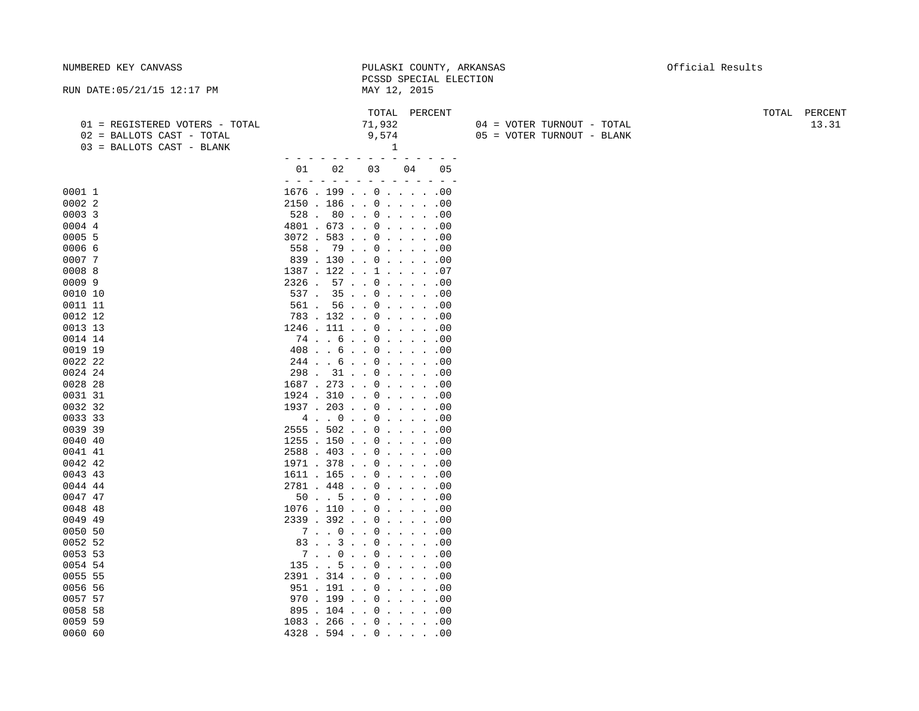| NUMBERED KEY CANVASS                                                                     | PULASKI COUNTY, ARKANSAS<br>PCSSD SPECIAL ELECTION                                                                                                                                                                        | Official Results       |
|------------------------------------------------------------------------------------------|---------------------------------------------------------------------------------------------------------------------------------------------------------------------------------------------------------------------------|------------------------|
| RUN DATE: 05/21/15 12:17 PM                                                              | MAY 12, 2015                                                                                                                                                                                                              |                        |
| 01 = REGISTERED VOTERS - TOTAL<br>02 = BALLOTS CAST - TOTAL<br>03 = BALLOTS CAST - BLANK | TOTAL<br>PERCENT<br>71,932<br>04 = VOTER TURNOUT - TOTAL<br>9,574<br>05 = VOTER TURNOUT - BLANK<br>1                                                                                                                      | TOTAL PERCENT<br>13.31 |
|                                                                                          | 03<br>01<br>02<br>04<br>05                                                                                                                                                                                                |                        |
| 0001 1<br>0002 2<br>0003 3                                                               | $\sim$<br>$\sim$<br>$\sim$ $-$<br>$\qquad \qquad -$<br>$\overline{\phantom{a}}$<br>$\equiv$<br>$  -$<br>$\overline{\phantom{a}}$<br>$1676$ . 199 000<br>$2150$ $186$ $\ldots$ 0 $\ldots$ $\ldots$ 00<br>$528$ . $80$ 0 00 |                        |
| 0004 4<br>0005 5<br>0006 6                                                               | $4801$ . $673$ 0 00<br>$3072$ . 583 000<br>$558$ . 79 0 00                                                                                                                                                                |                        |
| 00077<br>0008 8<br>00099                                                                 | 839.130.00.000.000<br>$1387$ $. 122$ $. 1$ $. 1$ $. 07$<br>$2326$ . 57 000                                                                                                                                                |                        |
| 0010 10<br>0011 11                                                                       | $537$ $. 35$ $. 0$ $. 00$<br>$561$ . $56$ 000<br>783.132.0.1.0.0.00                                                                                                                                                       |                        |
| 0012 12<br>0013 13<br>0014 14                                                            | $1246$ . $111$ 0 00<br>74. . 6. . 0. 00                                                                                                                                                                                   |                        |
| 0019 19<br>0022 22<br>0024 24                                                            | $408$ 6 0 00<br>$244$ 6 0 00<br>$298$ . $31$ 0 00                                                                                                                                                                         |                        |
| 0028 28<br>0031 31<br>0032 32                                                            | $1687$ . 273 000<br>$1924$ $.310$ $.0$ $.0$ $.0$ $.00$                                                                                                                                                                    |                        |
| 0033 33<br>0039 39                                                                       | $1937$ . $203$ 000<br>$2555$ . 502 000                                                                                                                                                                                    |                        |
| 0040 40<br>0041 41<br>0042 42                                                            | $1255$ . $150$ 000<br>$2588$ $.403$ $.0$ $.1$ $.00$<br>$1971$ $.378$ $.0$ $.0$ $.0$ $.00$                                                                                                                                 |                        |
| 0043 43<br>0044 44                                                                       | $1611$ $165$ $0$ $10$ $100$<br>$2781$ $.448$ $.0$ $.0$ $.00$                                                                                                                                                              |                        |
| 0047 47<br>0048 48<br>0049 49                                                            | 50. 5. . 0. 00<br>$1076$ . $110$ 000<br>$2339$ $.392$ $.0$ $.0$ $.0$                                                                                                                                                      |                        |
| 0050 50<br>0052 52                                                                       | 7.0.0.0.0.0.0.0.00<br>83. . 3. . 0. 00                                                                                                                                                                                    |                        |
| 0053 53<br>0054 54                                                                       | 7.0.0.0.0.0.0.0.00<br>135 5 0 00<br>$2391$ . $314$ 0 00                                                                                                                                                                   |                        |
| 0055 55<br>0056 56<br>0057 57                                                            | $951$ $. 191$ $. 0$ $. 0$ $. 0$<br>970.199.00.000.000                                                                                                                                                                     |                        |
| 0058 58<br>0059 59<br>0060 60                                                            | $895$ . $104$ 000<br>$1083$ . 266 000<br>$4328$ $.594$ $.0$ $.0$ $.0$ $.00$                                                                                                                                               |                        |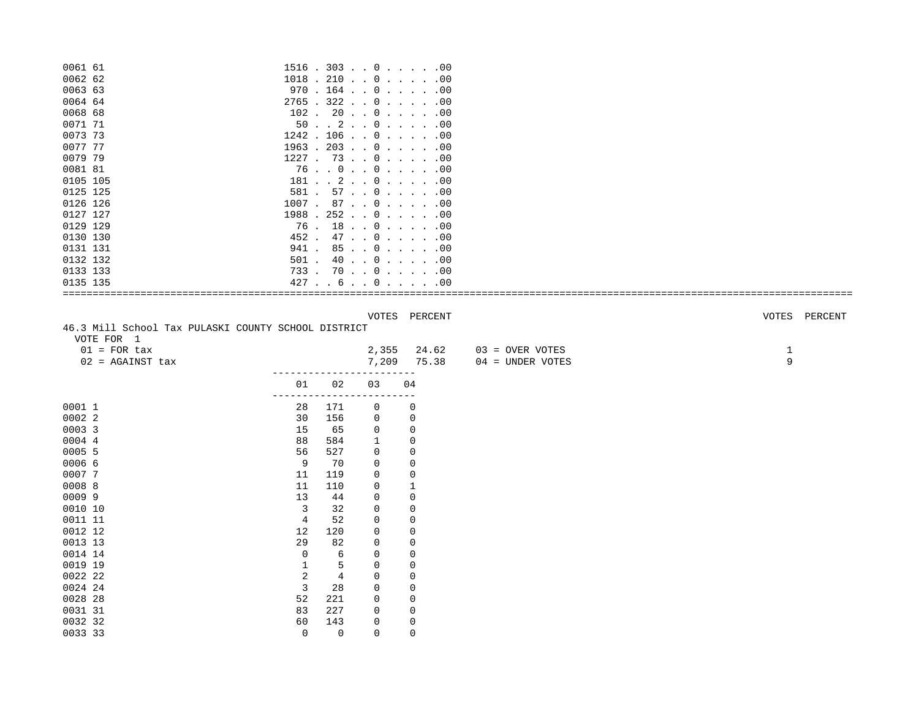| 0061 61                                            |                |                |                | $1516$ $.303$ $.00$ $.00$            |                                     |                   |
|----------------------------------------------------|----------------|----------------|----------------|--------------------------------------|-------------------------------------|-------------------|
| 0062 62                                            |                |                |                | $1018$ . 210 000                     |                                     |                   |
| 0063 63                                            |                |                |                | $970$ . $164$ 000                    |                                     |                   |
| 0064 64                                            |                |                |                | $2765$ $.322$ $.0$ $.0$ $.0$         |                                     |                   |
| 0068 68                                            |                |                |                | $102$ . $20$ $0$ 00                  |                                     |                   |
| 0071 71                                            |                |                |                | 50.2.10.1.1                          |                                     |                   |
| 0073 73                                            |                |                |                | $1242$ . $106$ 0 00                  |                                     |                   |
| 0077 77                                            |                |                |                | $1963$ . $203$ 000                   |                                     |                   |
| 0079 79                                            |                |                |                | $1227$ . 73 0 00                     |                                     |                   |
| 0081 81                                            |                |                |                | 76.0.0.0.0.0.0.0.00                  |                                     |                   |
| 0105 105                                           |                |                |                | 181 2 0 00                           |                                     |                   |
| 0125 125                                           | 581 .          |                |                | 57.0.0.0.0.00                        |                                     |                   |
| 0126 126                                           |                |                |                | $1007$ . 87 0 00                     |                                     |                   |
| 0127 127                                           |                |                |                | $1988$ . 252 000                     |                                     |                   |
| 0129 129                                           |                |                |                | $76$ $18$ $0$ $18$ $0$ $10$          |                                     |                   |
| 0130 130                                           | 452.           |                |                | 47.0.0.0.0.00                        |                                     |                   |
| 0131 131                                           |                |                |                | $941$ $85$ $\ldots$ 0 $\ldots$ $.00$ |                                     |                   |
| 0132 132                                           | 501.           |                |                | $40$ 0 00                            |                                     |                   |
| 0133 133                                           |                |                |                | $733$ . $70$ 000                     |                                     |                   |
| 0135 135                                           |                |                |                | 427.6.0.0.0.0.0                      |                                     |                   |
|                                                    |                |                |                |                                      |                                     |                   |
| VOTE FOR 1<br>$01 = FOR tax$<br>$02$ = AGAINST tax |                |                | 2,355<br>7,209 | 24.62<br>75.38                       | 03 = OVER VOTES<br>04 = UNDER VOTES | $\mathbf{1}$<br>9 |
|                                                    | 01             | 02             | 03             | 04                                   |                                     |                   |
|                                                    |                |                |                |                                      |                                     |                   |
| 0001 1                                             | 28             | 171            | 0              | 0                                    |                                     |                   |
| 0002 2                                             | 30             | 156            | 0              | 0                                    |                                     |                   |
| 0003 3                                             | 15             | 65             | 0              | 0                                    |                                     |                   |
| 0004 4                                             | 88             | 584            | 1              | 0                                    |                                     |                   |
| 0005 5                                             | 56             | 527            | $\mathbf 0$    | 0                                    |                                     |                   |
| 0006 6                                             | 9              | 70             | 0              | 0                                    |                                     |                   |
| 0007 7                                             | 11             | 119            | 0              | $\overline{0}$                       |                                     |                   |
| 0008 8                                             | 11             | 110            | 0              | 1                                    |                                     |                   |
| 0009 9                                             | 13             | 44             | 0              | $\mathbf 0$                          |                                     |                   |
| 0010 10                                            | 3              | 32             | 0              | 0                                    |                                     |                   |
| 0011 11                                            | $\overline{4}$ | 52             | $\mathbf 0$    | $\mathbf 0$                          |                                     |                   |
| 0012 12                                            | 12             | 120            | $\mathbf 0$    | 0                                    |                                     |                   |
| 0013 13                                            | 29             | 82             | $\mathbf 0$    | $\mathbf 0$                          |                                     |                   |
| 0014 14                                            | $\mathbf 0$    | 6              | 0              | 0                                    |                                     |                   |
| 0019 19                                            | 1              | 5              | 0              | 0                                    |                                     |                   |
| 0022 22                                            | $\overline{c}$ | $\overline{4}$ | 0              | 0                                    |                                     |                   |
| 0024 24                                            | 3              | 28             | 0              | $\overline{0}$                       |                                     |                   |
| 0028 28                                            | 52             | 221            | 0              | 0                                    |                                     |                   |
| 0031 31                                            | 83             | 227            | 0              | 0                                    |                                     |                   |
| 0032 32                                            | 60             | 143            | $\mathbf 0$    | 0                                    |                                     |                   |
| 0033 33                                            | $\mathbf 0$    | $\mathbf 0$    | $\mathbf 0$    | $\mathbf 0$                          |                                     |                   |